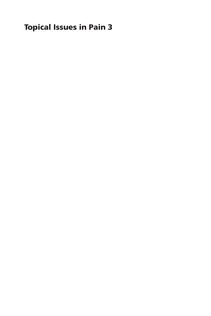#### **Topical Issues in Pain 3**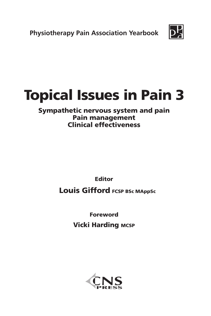**Physiotherapy Pain Association Yearbook**



# **Topical Issues in Pain 3**

#### **Sympathetic nervous system and pain Pain management Clinical effectiveness**

**Editor**

#### **Louis Gifford FCSP BSc MAppSc**

**Foreword Vicki Harding MCSP**

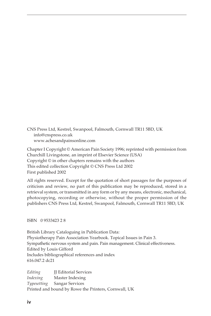CNS Press Ltd, Kestrel, Swanpool, Falmouth, Cornwall TR11 5BD, UK info@cnspress.co.uk www.achesandpainsonline.com

Chapter I Copyright © American Pain Society 1996; reprinted with permission from Churchill Livingstone, an imprint of Elsevier Science (USA) Copyright © in other chapters remains with the authors This edited collection Copyright © CNS Press Ltd 2002 First published 2002

All rights reserved. Except for the quotation of short passages for the purposes of criticism and review, no part of this publication may be reproduced, stored in a retrieval system, or transmitted in any form or by any means, electronic, mechanical, photocopying, recording or otherwise, without the proper permission of the publishers CNS Press Ltd, Kestrel, Swanpool, Falmouth, Cornwall TR11 5BD, UK

ISBN 0 9533423 2 8

British Library Cataloguing in Publication Data: Physiotherapy Pain Association Yearbook. Topical Issues in Pain 3. Sympathetic nervous system and pain. Pain management. Clinical effectiveness. Edited by Louis Gifford Includes bibliographical references and index 616.047.2 dc21

*Editing* **II** Editorial Services *Indexing* Master Indexing *Typesetting* Sangar Services Printed and bound by Rowe the Printers, Cornwall, UK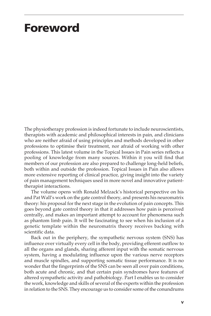#### **Foreword**

The physiotherapy profession is indeed fortunate to include neuroscientists, therapists with academic and philosophical interests in pain, and clinicians who are neither afraid of using principles and methods developed in other professions to optimise their treatment, nor afraid of working with other professions. This latest volume in the Topical Issues in Pain series reflects a pooling of knowledge from many sources. Within it you will find that members of our profession are also prepared to challenge long-held beliefs, both within and outside the profession. Topical Issues in Pain also allows more extensive reporting of clinical practice, giving insight into the variety of pain management techniques used in more novel and innovative patienttherapist interactions.

The volume opens with Ronald Melzack's historical perspective on his and Pat Wall's work on the gate control theory, and presents his neuromatrix theory: his proposal for the next stage in the evolution of pain concepts. This goes beyond gate control theory in that it addresses how pain is perceived centrally, and makes an important attempt to account for phenomena such as phantom limb pain. It will be fascinating to see when his inclusion of a genetic template within the neuromatrix theory receives backing with scientific data.

Back out in the periphery, the sympathetic nervous system (SNS) has influence over virtually every cell in the body, providing efferent outflow to all the organs and glands, sharing afferent input with the somatic nervous system, having a modulating influence upon the various nerve receptors and muscle spindles, and supporting somatic tissue performance. It is no wonder that the fingerprints of the SNS can be seen all over pain conditions, both acute and chronic, and that certain pain syndromes have features of altered sympathetic activity and pathobiology. Part I enables us to consider the work, knowledge and skills of several of the experts within the profession in relation to the SNS. They encourage us to consider some of the conundrums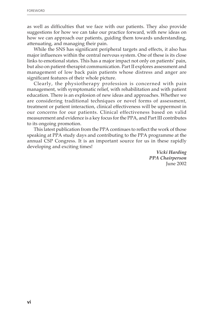as well as difficulties that we face with our patients. They also provide suggestions for how we can take our practice forward, with new ideas on how we can approach our patients, guiding them towards understanding, attenuating, and managing their pain.

While the SNS has significant peripheral targets and effects, it also has major influences within the central nervous system. One of these is its close links to emotional states. This has a major impact not only on patients' pain, but also on patient-therapist communication. Part II explores assessment and management of low back pain patients whose distress and anger are significant features of their whole picture.

Clearly, the physiotherapy profession is concerned with pain management, with symptomatic relief, with rehabilitation and with patient education. There is an explosion of new ideas and approaches. Whether we are considering traditional techniques or novel forms of assessment, treatment or patient interaction, clinical effectiveness will be uppermost in our concerns for our patients. Clinical effectiveness based on valid measurement and evidence is a key focus for the PPA, and Part III contributes to its ongoing promotion.

This latest publication from the PPA continues to reflect the work of those speaking at PPA study days and contributing to the PPA programme at the annual CSP Congress. It is an important source for us in these rapidly developing and exciting times!

> *Vicki Harding PPA Chairperson* June 2002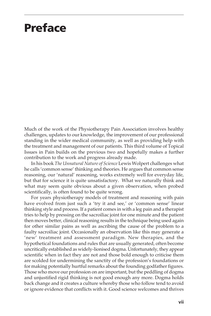### **Preface**

Much of the work of the Physiotherapy Pain Association involves healthy challenges, updates to our knowledge, the improvement of our professional standing in the wider medical community, as well as providing help with the treatment and management of our patients. This third volume of Topical Issues in Pain builds on the previous two and hopefully makes a further contribution to the work and progress already made.

In his book *The Unnatural Nature of Science* Lewis Wolpert challenges what he calls 'common sense' thinking and theories. He argues that common sense reasoning, our 'natural' reasoning, works extremely well for everyday life, but that for science it is quite unsatisfactory. What we naturally think and what may seem quite obvious about a given observation, when probed scientifically, is often found to be quite wrong.

For years physiotherapy models of treatment and reasoning with pain have evolved from just such a 'try it and see,' or 'common sense' linear thinking style and process. If a patient comes in with a leg pain and a therapist tries to help by pressing on the sacroiliac joint for one minute and the patient then moves better, clinical reasoning results in the technique being used again for other similar pains as well as ascribing the cause of the problem to a faulty sacroiliac joint. Occasionally an observation like this may generate a 'new' treatment and assessment paradigm. New therapies, and the hypothetical foundations and rules that are usually generated, often become uncritically established as widely-lionised dogma. Unfortunately, they appear scientific when in fact they are not and those bold enough to criticise them are scolded for undermining the sanctity of the profession's foundations or for making potentially hurtful remarks about the founding godfather figures. Those who move our profession on are important, but the peddling of dogma and unjustified rigid thinking is not good enough any more. Dogma holds back change and it creates a culture whereby those who follow tend to avoid or ignore evidence that conflicts with it. Good science welcomes and thrives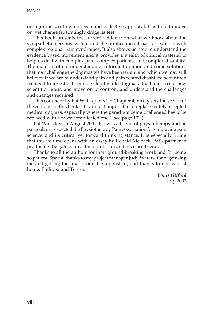on rigorous scrutiny, criticism and collective appraisal. It is time to move on, yet change frustratingly drags its feet.

This book presents the current evidence on what we know about the sympathetic nervous system and the implications it has for patients with complex regional pain syndromes. It also shows us how to understand the evidence based movement and it provides a wealth of clinical material to help us deal with complex pain, complex patients, and complex disability. The material offers understanding, informed opinion and some solutions that may challenge the dogmas we have been taught and which we may still believe. If we are to understand pain and pain related disability better then we need to investigate or side step the old dogma, adjust and accept new scientific rigour, and move on to confront and understand the challenges and changes required.

This comment by Pat Wall, quoted in Chapter 4, nicely sets the scene for the contents of this book: 'It is almost impossible to replace widely accepted medical dogmas, especially where the paradigm being challenged has to be replaced with a more complicated one!' (see page 103.)

Pat Wall died in August 2001. He was a friend of physiotherapy and he particularly respected the Physiotherapy Pain Association for embracing pain science, and its critical yet forward thinking stance. It is especially fitting that this volume opens with an essay by Ronald Melzack, Pat's partner in producing the gate control theory of pain and his close friend.

Thanks to all the authors for their ground-breaking work and for being so patient. Special thanks to my project manager Judy Waters, for organising me and getting the final products so polished, and thanks to my team at home, Philippa and Teresa.

> *Louis Gifford* July 2002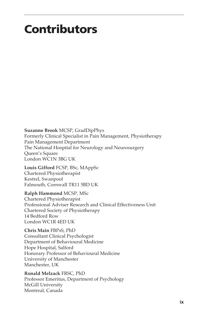## **Contributors**

**Suzanne Brook** MCSP, GradDipPhys Formerly Clinical Specialist in Pain Management, Physiotherapy Pain Management Department The National Hospital for Neurology and Neurosurgery Queen's Square London WC1N 3BG UK

**Louis Gifford** FCSP, BSc, MAppSc Chartered Physiotherapist Kestrel, Swanpool Falmouth, Cornwall TR11 5BD UK

#### **Ralph Hammond** MCSP, MSc

Chartered Physiotherapist Professional Adviser Research and Clinical Effectiveness Unit Chartered Society of Physiotherapy 14 Bedford Row London WC1R 4ED UK

**Chris Main** FBPsS, PhD

Consultant Clinical Psychologist Department of Behavioural Medicine Hope Hospital, Salford Honorary Professor of Behavioural Medicine University of Manchester Manchester, UK

**Ronald Melzack** FRSC, PhD Professor Emeritus, Department of Psychology McGill University Montreal, Canada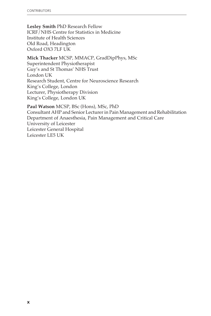**Lesley Smith** PhD Research Fellow ICRF/NHS Centre for Statistics in Medicine Institute of Health Sciences Old Road, Headington Oxford OX3 7LF UK

**Mick Thacker** MCSP, MMACP, GradDipPhys, MSc Superintendent Physiotherapist Guy's and St Thomas' NHS Trust London UK Research Student, Centre for Neuroscience Research King's College, London Lecturer, Physiotherapy Division King's College, London UK

**Paul Watson** MCSP, BSc (Hons), MSc, PhD Consultant AHP and Senior Lecturer in Pain Management and Rehabilitation Department of Anaesthesia, Pain Management and Critical Care University of Leicester Leicester General Hospital Leicester LE5 UK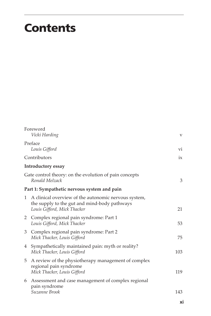### **Contents**

|              | Foreword<br>Vicki Harding                                                                                                           | V   |
|--------------|-------------------------------------------------------------------------------------------------------------------------------------|-----|
|              | Preface<br>Louis Gifford                                                                                                            | vi  |
| Contributors |                                                                                                                                     | ix  |
|              | Introductory essay                                                                                                                  |     |
|              | Gate control theory: on the evolution of pain concepts<br>Ronald Melzack                                                            | 3   |
|              | Part 1: Sympathetic nervous system and pain                                                                                         |     |
| $\mathbf{1}$ | A clinical overview of the autonomic nervous system,<br>the supply to the gut and mind-body pathways<br>Louis Gifford, Mick Thacker | 21  |
|              | 2 Complex regional pain syndrome: Part 1<br>Louis Gifford, Mick Thacker                                                             | 53  |
|              | 3 Complex regional pain syndrome: Part 2<br>Mick Thacker, Louis Gifford                                                             | 75  |
|              | 4 Sympathetically maintained pain: myth or reality?<br>Mick Thacker, Louis Gifford                                                  | 103 |
|              | 5 A review of the physiotherapy management of complex<br>regional pain syndrome<br>Mick Thacker, Louis Gifford                      | 119 |
| 6            | Assessment and case management of complex regional<br>pain syndrome<br>Suzanne Brook                                                | 143 |
|              |                                                                                                                                     |     |